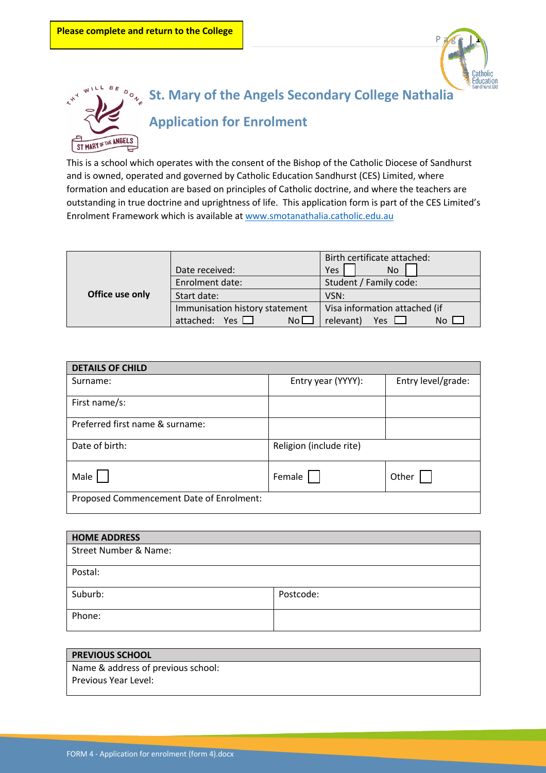**A**H



## **St. Mary of the Angels Secondary College Nathalia Application for Enrolment** ST MARY OF THE ANGELS

This is a school which operates with the consent of the Bishop of the Catholic Diocese of Sandhurst and is owned, operated and governed by Catholic Education Sandhurst (CES) Limited, where formation and education are based on principles of Catholic doctrine, and where the teachers are outstanding in true doctrine and uprightness of life. This application form is part of the CES Limited's Enrolment Framework which is available at www.smotanathalia.catholic.edu.au

|                 |                                                | Birth certificate attached:   |  |  |
|-----------------|------------------------------------------------|-------------------------------|--|--|
| Date received:  |                                                | Yes<br>No                     |  |  |
|                 | Enrolment date:                                | Student / Family code:        |  |  |
| Office use only | Start date:                                    | VSN:                          |  |  |
|                 | Immunisation history statement                 | Visa information attached (if |  |  |
|                 | attached:<br>Yes $\mathsf{\mathsf{L}}$<br>No L | relevant)<br>Yes.<br>N٥       |  |  |

| <b>DETAILS OF CHILD</b>                  |                         |                    |
|------------------------------------------|-------------------------|--------------------|
| Surname:                                 | Entry year (YYYY):      | Entry level/grade: |
| First name/s:                            |                         |                    |
| Preferred first name & surname:          |                         |                    |
| Date of birth:                           | Religion (include rite) |                    |
| Male                                     | Female                  | Other              |
| Proposed Commencement Date of Enrolment: |                         |                    |

| <b>HOME ADDRESS</b>              |           |
|----------------------------------|-----------|
| <b>Street Number &amp; Name:</b> |           |
| Postal:                          |           |
|                                  |           |
| Suburb:                          | Postcode: |
|                                  |           |
| Phone:                           |           |
|                                  |           |

| <b>FREVIOUS SCHOOL</b>             |  |
|------------------------------------|--|
| Name & address of previous school: |  |
| Previous Year Level:               |  |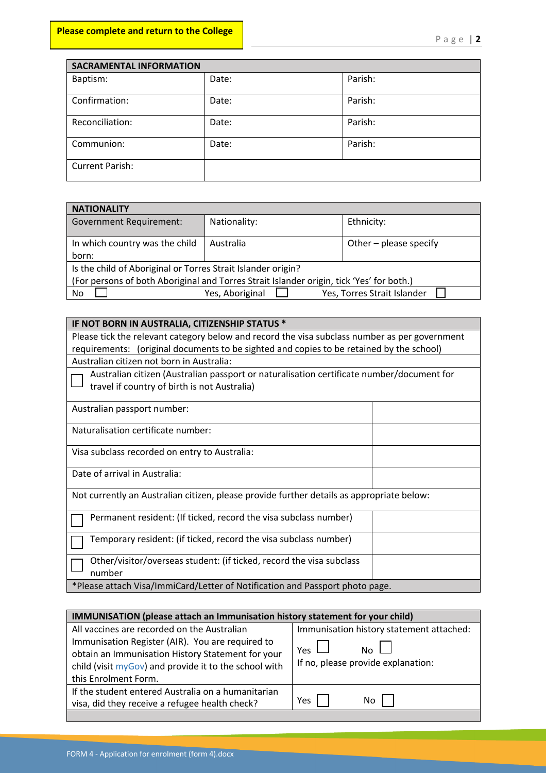| <b>SACRAMENTAL INFORMATION</b> |       |         |  |  |
|--------------------------------|-------|---------|--|--|
| Baptism:                       | Date: | Parish: |  |  |
| Confirmation:                  | Date: | Parish: |  |  |
| Reconciliation:                | Date: | Parish: |  |  |
| Communion:                     | Date: | Parish: |  |  |
| <b>Current Parish:</b>         |       |         |  |  |

| <b>NATIONALITY</b>                                                                       |                                                |                        |  |  |
|------------------------------------------------------------------------------------------|------------------------------------------------|------------------------|--|--|
| Government Requirement:                                                                  | Nationality:                                   | Ethnicity:             |  |  |
|                                                                                          |                                                |                        |  |  |
| In which country was the child                                                           | Australia                                      | Other – please specify |  |  |
| born:                                                                                    |                                                |                        |  |  |
| Is the child of Aboriginal or Torres Strait Islander origin?                             |                                                |                        |  |  |
| (For persons of both Aboriginal and Torres Strait Islander origin, tick 'Yes' for both.) |                                                |                        |  |  |
| No                                                                                       | Yes, Torres Strait Islander<br>Yes, Aboriginal |                        |  |  |

| IF NOT BORN IN AUSTRALIA, CITIZENSHIP STATUS *                                                |  |  |  |  |
|-----------------------------------------------------------------------------------------------|--|--|--|--|
| Please tick the relevant category below and record the visa subclass number as per government |  |  |  |  |
| requirements: (original documents to be sighted and copies to be retained by the school)      |  |  |  |  |
| Australian citizen not born in Australia:                                                     |  |  |  |  |
| Australian citizen (Australian passport or naturalisation certificate number/document for     |  |  |  |  |
| travel if country of birth is not Australia)                                                  |  |  |  |  |
| Australian passport number:                                                                   |  |  |  |  |
| Naturalisation certificate number:                                                            |  |  |  |  |
| Visa subclass recorded on entry to Australia:                                                 |  |  |  |  |
| Date of arrival in Australia:                                                                 |  |  |  |  |
| Not currently an Australian citizen, please provide further details as appropriate below:     |  |  |  |  |
| Permanent resident: (If ticked, record the visa subclass number)                              |  |  |  |  |
| Temporary resident: (if ticked, record the visa subclass number)                              |  |  |  |  |
| Other/visitor/overseas student: (if ticked, record the visa subclass<br>number                |  |  |  |  |
| *Please attach Visa/ImmiCard/Letter of Notification and Passport photo page.                  |  |  |  |  |

| IMMUNISATION (please attach an Immunisation history statement for your child)                                                                                                                                 |                                                                                                                |  |  |
|---------------------------------------------------------------------------------------------------------------------------------------------------------------------------------------------------------------|----------------------------------------------------------------------------------------------------------------|--|--|
| All vaccines are recorded on the Australian<br>Immunisation Register (AIR). You are required to<br>obtain an Immunisation History Statement for your<br>child (visit myGov) and provide it to the school with | Immunisation history statement attached:<br>N <sub>0</sub><br>Yes $\Box$<br>If no, please provide explanation: |  |  |
| this Enrolment Form.                                                                                                                                                                                          |                                                                                                                |  |  |
| If the student entered Australia on a humanitarian<br>visa, did they receive a refugee health check?                                                                                                          | Yes<br>No                                                                                                      |  |  |
|                                                                                                                                                                                                               |                                                                                                                |  |  |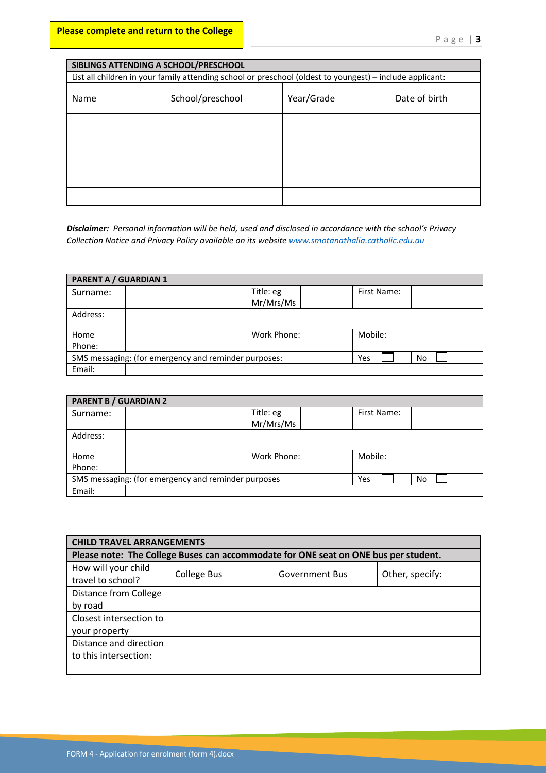| SIBLINGS ATTENDING A SCHOOL/PRESCHOOL |                                                                                                          |  |  |  |  |  |
|---------------------------------------|----------------------------------------------------------------------------------------------------------|--|--|--|--|--|
|                                       | List all children in your family attending school or preschool (oldest to youngest) - include applicant: |  |  |  |  |  |
| Name                                  | Year/Grade<br>School/preschool<br>Date of birth                                                          |  |  |  |  |  |
|                                       |                                                                                                          |  |  |  |  |  |
|                                       |                                                                                                          |  |  |  |  |  |
|                                       |                                                                                                          |  |  |  |  |  |
|                                       |                                                                                                          |  |  |  |  |  |
|                                       |                                                                                                          |  |  |  |  |  |

*Disclaimer: Personal information will be held, used and disclosed in accordance with the school's Privacy Collection Notice and Privacy Policy available on its website www.smotanathalia.catholic.edu.au*

| <b>PARENT A / GUARDIAN 1</b> |                                                      |             |  |             |    |
|------------------------------|------------------------------------------------------|-------------|--|-------------|----|
| Surname:                     |                                                      | Title: eg   |  | First Name: |    |
|                              |                                                      | Mr/Mrs/Ms   |  |             |    |
| Address:                     |                                                      |             |  |             |    |
|                              |                                                      |             |  |             |    |
| Home                         |                                                      | Work Phone: |  | Mobile:     |    |
| Phone:                       |                                                      |             |  |             |    |
|                              | SMS messaging: (for emergency and reminder purposes: |             |  | Yes         | No |
| Email:                       |                                                      |             |  |             |    |

| <b>PARENT B / GUARDIAN 2</b> |                                                     |             |             |  |
|------------------------------|-----------------------------------------------------|-------------|-------------|--|
| Surname:                     |                                                     | Title: eg   | First Name: |  |
|                              |                                                     | Mr/Mrs/Ms   |             |  |
| Address:                     |                                                     |             |             |  |
|                              |                                                     |             |             |  |
| Home                         |                                                     | Work Phone: | Mobile:     |  |
| Phone:                       |                                                     |             |             |  |
|                              | SMS messaging: (for emergency and reminder purposes |             | No<br>Yes   |  |
| Email:                       |                                                     |             |             |  |

| <b>CHILD TRAVEL ARRANGEMENTS</b>                                                    |             |                       |                 |  |
|-------------------------------------------------------------------------------------|-------------|-----------------------|-----------------|--|
| Please note: The College Buses can accommodate for ONE seat on ONE bus per student. |             |                       |                 |  |
| How will your child                                                                 |             | <b>Government Bus</b> |                 |  |
| travel to school?                                                                   | College Bus |                       | Other, specify: |  |
| Distance from College                                                               |             |                       |                 |  |
| by road                                                                             |             |                       |                 |  |
| Closest intersection to                                                             |             |                       |                 |  |
| your property                                                                       |             |                       |                 |  |
| Distance and direction                                                              |             |                       |                 |  |
| to this intersection:                                                               |             |                       |                 |  |
|                                                                                     |             |                       |                 |  |